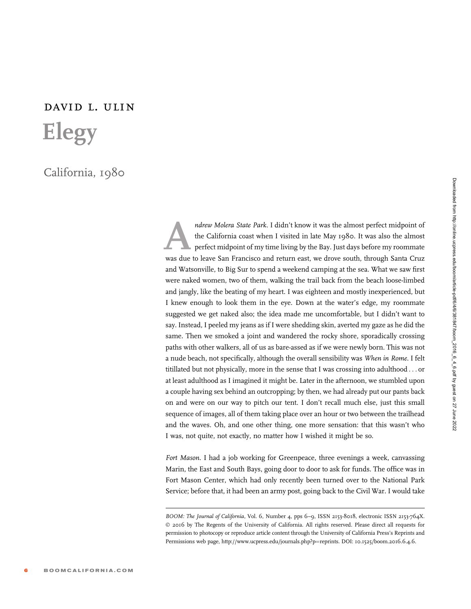## david l. ulin Elegy

## California, 1980

ndrew Molera State Park. I didn't know it was the almost perfect midpoint of<br>the California coast when I visited in late May 1980. It was also the almost<br>perfect midpoint of my time living by the Bay. Just days before my r the California coast when I visited in late May 1980. It was also the almost perfect midpoint of my time living by the Bay. Just days before my roommate was due to leave San Francisco and return east, we drove south, through Santa Cruz and Watsonville, to Big Sur to spend a weekend camping at the sea. What we saw first were naked women, two of them, walking the trail back from the beach loose-limbed and jangly, like the beating of my heart. I was eighteen and mostly inexperienced, but I knew enough to look them in the eye. Down at the water's edge, my roommate suggested we get naked also; the idea made me uncomfortable, but I didn't want to say. Instead, I peeled my jeans as if I were shedding skin, averted my gaze as he did the same. Then we smoked a joint and wandered the rocky shore, sporadically crossing paths with other walkers, all of us as bare-assed as if we were newly born. This was not a nude beach, not specifically, although the overall sensibility was When in Rome. I felt titillated but not physically, more in the sense that I was crossing into adulthood ... or at least adulthood as I imagined it might be. Later in the afternoon, we stumbled upon a couple having sex behind an outcropping; by then, we had already put our pants back on and were on our way to pitch our tent. I don't recall much else, just this small sequence of images, all of them taking place over an hour or two between the trailhead and the waves. Oh, and one other thing, one more sensation: that this wasn't who I was, not quite, not exactly, no matter how I wished it might be so.

Fort Mason. I had a job working for Greenpeace, three evenings a week, canvassing Marin, the East and South Bays, going door to door to ask for funds. The office was in Fort Mason Center, which had only recently been turned over to the National Park Service; before that, it had been an army post, going back to the Civil War. I would take

BOOM: The Journal of California, Vol. 6, Number 4, pps 6-9, ISSN 2153-8018, electronic ISSN 2153-764X. © 2016 by The Regents of the University of California. All rights reserved. Please direct all requests for permission to photocopy or reproduce article content through the University of California Press's Reprints and Permissions web page, http://www.ucpress.edu/journals.php?p=reprints. DOI: 10.1525/boom.2016.6.4.6.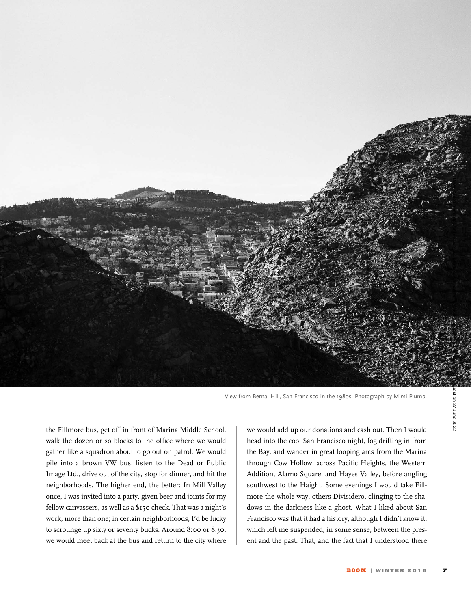

View from Bernal Hill, San Francisco in the 1980s. Photograph by Mimi Plumb.

the Fillmore bus, get off in front of Marina Middle School, walk the dozen or so blocks to the office where we would gather like a squadron about to go out on patrol. We would pile into a brown VW bus, listen to the Dead or Public Image Ltd., drive out of the city, stop for dinner, and hit the neighborhoods. The higher end, the better: In Mill Valley once, I was invited into a party, given beer and joints for my fellow canvassers, as well as a \$150 check. That was a night's work, more than one; in certain neighborhoods, I'd be lucky to scrounge up sixty or seventy bucks. Around 8:00 or 8:30, we would meet back at the bus and return to the city where

we would add up our donations and cash out. Then I would head into the cool San Francisco night, fog drifting in from the Bay, and wander in great looping arcs from the Marina through Cow Hollow, across Pacific Heights, the Western Addition, Alamo Square, and Hayes Valley, before angling southwest to the Haight. Some evenings I would take Fillmore the whole way, others Divisidero, clinging to the shadows in the darkness like a ghost. What I liked about San Francisco was that it had a history, although I didn't know it, which left me suspended, in some sense, between the present and the past. That, and the fact that I understood there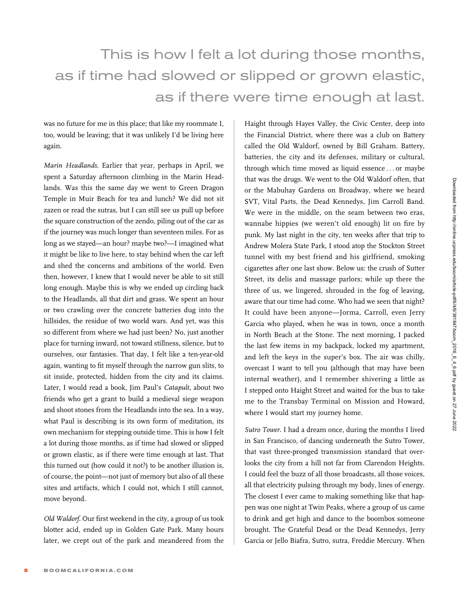## This is how I felt a lot during those months, as if time had slowed or slipped or grown elastic, as if there were time enough at last.

was no future for me in this place; that like my roommate I, too, would be leaving; that it was unlikely I'd be living here again.

Marin Headlands. Earlier that year, perhaps in April, we spent a Saturday afternoon climbing in the Marin Headlands. Was this the same day we went to Green Dragon Temple in Muir Beach for tea and lunch? We did not sit zazen or read the sutras, but I can still see us pull up before the square construction of the zendo, piling out of the car as if the journey was much longer than seventeen miles. For as long as we stayed—an hour? maybe two?—I imagined what it might be like to live here, to stay behind when the car left and shed the concerns and ambitions of the world. Even then, however, I knew that I would never be able to sit still long enough. Maybe this is why we ended up circling back to the Headlands, all that dirt and grass. We spent an hour or two crawling over the concrete batteries dug into the hillsides, the residue of two world wars. And yet, was this so different from where we had just been? No, just another place for turning inward, not toward stillness, silence, but to ourselves, our fantasies. That day, I felt like a ten-year-old again, wanting to fit myself through the narrow gun slits, to sit inside, protected, hidden from the city and its claims. Later, I would read a book, Jim Paul's Catapult, about two friends who get a grant to build a medieval siege weapon and shoot stones from the Headlands into the sea. In a way, what Paul is describing is its own form of meditation, its own mechanism for stepping outside time. This is how I felt a lot during those months, as if time had slowed or slipped or grown elastic, as if there were time enough at last. That this turned out (how could it not?) to be another illusion is, of course, the point—not just of memory but also of all these sites and artifacts, which I could not, which I still cannot, move beyond.

Old Waldorf. Our first weekend in the city, a group of us took blotter acid, ended up in Golden Gate Park. Many hours later, we crept out of the park and meandered from the

Haight through Hayes Valley, the Civic Center, deep into the Financial District, where there was a club on Battery called the Old Waldorf, owned by Bill Graham. Battery, batteries, the city and its defenses, military or cultural, through which time moved as liquid essence ... or maybe that was the drugs. We went to the Old Waldorf often, that or the Mabuhay Gardens on Broadway, where we heard SVT, Vital Parts, the Dead Kennedys, Jim Carroll Band. We were in the middle, on the seam between two eras, wannabe hippies (we weren't old enough) lit on fire by punk. My last night in the city, ten weeks after that trip to Andrew Molera State Park, I stood atop the Stockton Street tunnel with my best friend and his girlfriend, smoking cigarettes after one last show. Below us: the crush of Sutter Street, its delis and massage parlors; while up there the three of us, we lingered, shrouded in the fog of leaving, aware that our time had come. Who had we seen that night? It could have been anyone—Jorma, Carroll, even Jerry Garcia who played, when he was in town, once a month in North Beach at the Stone. The next morning, I packed the last few items in my backpack, locked my apartment, and left the keys in the super's box. The air was chilly, overcast I want to tell you (although that may have been internal weather), and I remember shivering a little as I stepped onto Haight Street and waited for the bus to take me to the Transbay Terminal on Mission and Howard, where I would start my journey home.

Sutro Tower. I had a dream once, during the months I lived in San Francisco, of dancing underneath the Sutro Tower, that vast three-pronged transmission standard that overlooks the city from a hill not far from Clarendon Heights. I could feel the buzz of all those broadcasts, all those voices, all that electricity pulsing through my body, lines of energy. The closest I ever came to making something like that happen was one night at Twin Peaks, where a group of us came to drink and get high and dance to the boombox someone brought. The Grateful Dead or the Dead Kennedys, Jerry Garcia or Jello Biafra, Sutro, sutra, Freddie Mercury. When